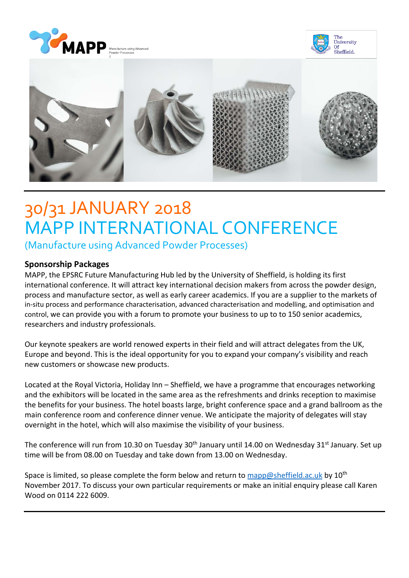





# 30/31 JANUARY 2018 MAPP INTERNATIONAL CONFERENCE

(Manufacture using Advanced Powder Processes)

## **Sponsorship Packages**

MAPP, the EPSRC Future Manufacturing Hub led by the University of Sheffield, is holding its first international conference. It will attract key international decision makers from across the powder design, process and manufacture sector, as well as early career academics. If you are a supplier to the markets of in-situ process and performance characterisation, advanced characterisation and modelling, and optimisation and control, we can provide you with a forum to promote your business to up to to 150 senior academics, researchers and industry professionals.

Our keynote speakers are world renowed experts in their field and will attract delegates from the UK, Europe and beyond. This is the ideal opportunity for you to expand your company's visibility and reach new customers or showcase new products.

Located at the Royal Victoria, Holiday Inn – Sheffield, we have a programme that encourages networking and the exhibitors will be located in the same area as the refreshments and drinks reception to maximise the benefits for your business. The hotel boasts large, bright conference space and a grand ballroom as the main conference room and conference dinner venue. We anticipate the majority of delegates will stay overnight in the hotel, which will also maximise the visibility of your business.

The conference will run from 10.30 on Tuesday 30<sup>th</sup> January until 14.00 on Wednesday 31<sup>st</sup> January. Set up time will be from 08.00 on Tuesday and take down from 13.00 on Wednesday.

Space is limited, so please complete the form below and return to [mapp@sheffield.ac.uk](mailto:mapp@sheffield.ac.uk) by  $10^{th}$ November 2017. To discuss your own particular requirements or make an initial enquiry please call Karen Wood on 0114 222 6009.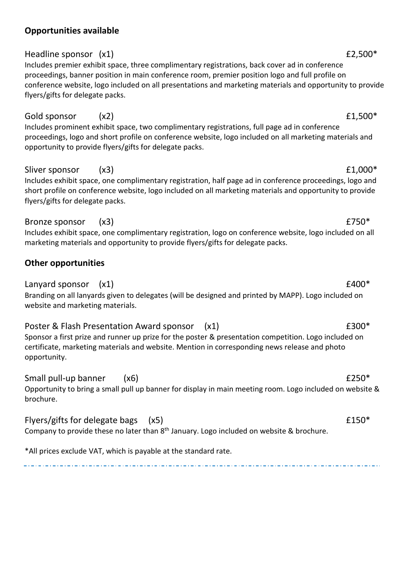# Headline sponsor (x1) **E2,500**\*

**Opportunities available**

Includes premier exhibit space, three complimentary registrations, back cover ad in conference proceedings, banner position in main conference room, premier position logo and full profile on conference website, logo included on all presentations and marketing materials and opportunity to provide flyers/gifts for delegate packs.

# Gold sponsor  $(x2)$   $f1,500*$

Includes prominent exhibit space, two complimentary registrations, full page ad in conference proceedings, logo and short profile on conference website, logo included on all marketing materials and opportunity to provide flyers/gifts for delegate packs.

# Sliver sponsor  $(x3)$   $f1,000*$

Includes exhibit space, one complimentary registration, half page ad in conference proceedings, logo and short profile on conference website, logo included on all marketing materials and opportunity to provide flyers/gifts for delegate packs.

# Bronze sponsor (x3)  $£750*$

Includes exhibit space, one complimentary registration, logo on conference website, logo included on all marketing materials and opportunity to provide flyers/gifts for delegate packs.

# **Other opportunities**

Lanyard sponsor  $(x1)$   $f400^*$ Branding on all lanyards given to delegates (will be designed and printed by MAPP). Logo included on website and marketing materials.

# Poster & Flash Presentation Award sponsor (x1)  $\qquad 2300^*$

Sponsor a first prize and runner up prize for the poster & presentation competition. Logo included on certificate, marketing materials and website. Mention in corresponding news release and photo opportunity.

Small pull-up banner (x6)  $\epsilon$  250\*

Opportunity to bring a small pull up banner for display in main meeting room. Logo included on website & brochure.

# Flyers/gifts for delegate bags  $(x5)$   $f150*$

Company to provide these no later than  $8<sup>th</sup>$  January. Logo included on website & brochure.

\*All prices exclude VAT, which is payable at the standard rate.